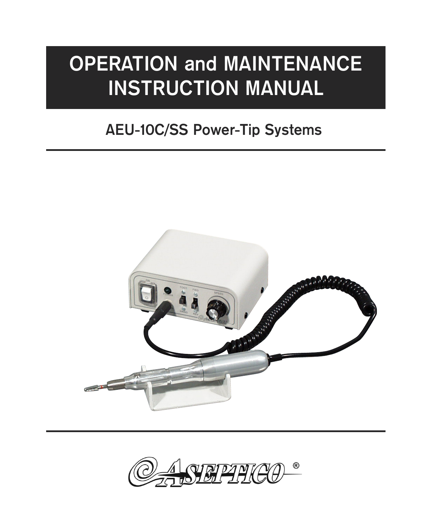# **OPERATION and MAINTENANCE INSTRUCTION MANUAL**

# **AEU-10C/SS Power-Tip Systems**



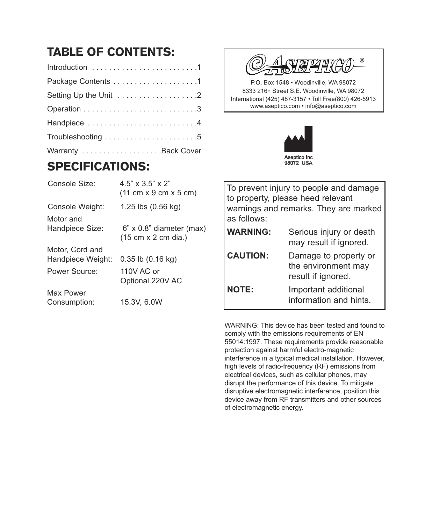# TABLE OF CONTENTS:

| Setting Up the Unit 2 |
|-----------------------|
|                       |
| Handpiece 4           |
|                       |
|                       |

### SPECIFICATIONS:

| Console Size:                        | $4.5$ " x $3.5$ " x $2$ "<br>$(11 \text{ cm} \times 9 \text{ cm} \times 5 \text{ cm})$ |
|--------------------------------------|----------------------------------------------------------------------------------------|
| Console Weight:                      | 1.25 lbs $(0.56 \text{ kg})$                                                           |
| Motor and<br>Handpiece Size:         | $6" \times 0.8"$ diameter (max)<br>(15 cm x 2 cm dia.)                                 |
| Motor, Cord and<br>Handpiece Weight: | $0.35$ lb $(0.16$ kg)                                                                  |
| Power Source:                        | $110V$ AC or<br>Optional 220V AC                                                       |
| Max Power<br>Consumption:            | 15.3V, 6.0W                                                                            |



P.O. Box 1548 • Woodinville, WA 98072 8333 216<sup>th</sup> Street S.E. Woodinville, WA 98072 International (425) 487-3157 • Toll Free(800) 426-5913 www.aseptico.com • info@aseptico.com



To prevent injury to people and damage to property, please heed relevant warnings and remarks. They are marked as follows: **WARNING:** Serious injury or death may result if ignored.

| <b>CAUTION:</b> | Damage to property or                           |
|-----------------|-------------------------------------------------|
|                 | the environment may                             |
|                 | result if ignored.                              |
| <b>NATE.</b>    | والمترمين والقائلة والمراجية والمستندر ومراجعها |

**NOTE:** Important additional information and hints.

WARNING: This device has been tested and found to comply with the emissions requirements of EN 55014:1997. These requirements provide reasonable protection against harmful electro-magnetic interference in a typical medical installation. However, high levels of radio-frequency (RF) emissions from electrical devices, such as cellular phones, may disrupt the performance of this device. To mitigate disruptive electromagnetic interference, position this device away from RF transmitters and other sources of electromagnetic energy.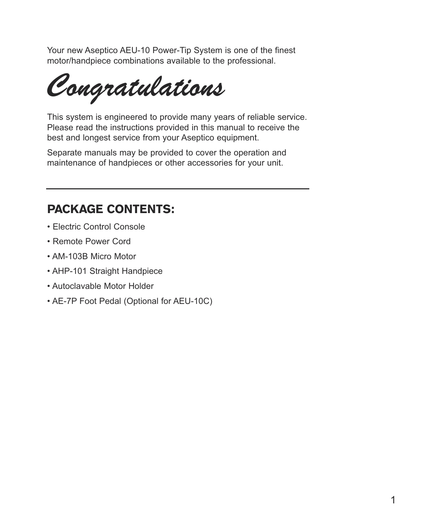Your new Aseptico AEU-10 Power-Tip System is one of the finest motor/handpiece combinations available to the professional.

*Congratulations*

This system is engineered to provide many years of reliable service. Please read the instructions provided in this manual to receive the best and longest service from your Aseptico equipment.

Separate manuals may be provided to cover the operation and maintenance of handpieces or other accessories for your unit.

### PACKAGE CONTENTS:

- Electric Control Console
- Remote Power Cord
- AM-103B Micro Motor
- AHP-101 Straight Handpiece
- Autoclavable Motor Holder
- AE-7P Foot Pedal (Optional for AEU-10C)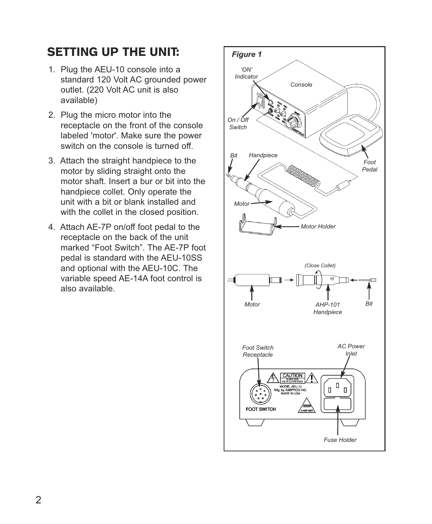### SETTING UP THE UNIT:

- 1. Plug the AEU-10 console into a standard 120 Volt AC grounded power outlet. (220 Volt AC unit is also available)
- 2. Plug the micro motor into the receptacle on the front of the console labeled 'motor'. Make sure the power switch on the console is turned off.
- 3. Attach the straight handpiece to the motor by sliding straight onto the motor shaft. Insert a bur or bit into the handpiece collet. Only operate the unit with a bit or blank installed and with the collet in the closed position.
- 4. Attach AE-7P on/off foot pedal to the receptacle on the back of the unit marked "Foot Switch". The AE-7P foot pedal is standard with the AEU-10SS and optional with the AEU-10C. The variable speed AE-14A foot control is also available.

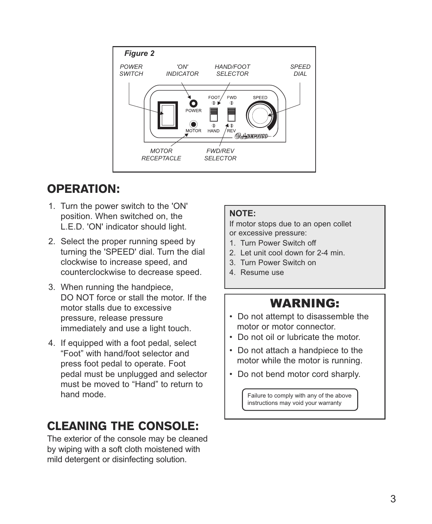

# OPERATION:

- 1. Turn the power switch to the 'ON' position. When switched on, the L.E.D. 'ON' indicator should light.
- 2. Select the proper running speed by turning the 'SPEED' dial. Turn the dial clockwise to increase speed, and counterclockwise to decrease speed.
- 3. When running the handpiece, DO NOT force or stall the motor. If the motor stalls due to excessive pressure, release pressure immediately and use a light touch.
- 4. If equipped with a foot pedal, select "Foot" with hand/foot selector and press foot pedal to operate. Foot pedal must be unplugged and selector must be moved to "Hand" to return to hand mode.

### CLEANING THE CONSOLE:

The exterior of the console may be cleaned by wiping with a soft cloth moistened with mild detergent or disinfecting solution.

#### **NOTE:**

If motor stops due to an open collet or excessive pressure:

- 1. Turn Power Switch off
- 2. Let unit cool down for 2-4 min.
- 3. Turn Power Switch on
- 4. Resume use

### WARNING:

- Do not attempt to disassemble the motor or motor connector.
- Do not oil or lubricate the motor.
- Do not attach a handpiece to the motor while the motor is running.
- Do not bend motor cord sharply.

Failure to comply with any of the above instructions may void your warranty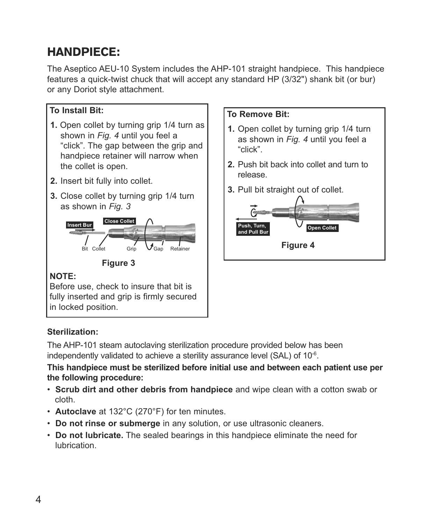# HANDPIECE:

The Aseptico AEU-10 System includes the AHP-101 straight handpiece. This handpiece features a quick-twist chuck that will accept any standard HP (3/32") shank bit (or bur) or any Doriot style attachment.

### **To Install Bit:**

- **1.** Open collet by turning grip 1/4 turn as shown in *Fig. 4* until you feel a "click". The gap between the grip and handpiece retainer will narrow when the collet is open.
- **2.** Insert bit fully into collet.
- **3.** Close collet by turning grip 1/4 turn as shown in *Fig. 3*



#### **Figure 3**

#### **NOTE:**

Before use, check to insure that bit is fully inserted and grip is firmly secured in locked position.

#### **To Remove Bit:**

- **1.** Open collet by turning grip 1/4 turn as shown in *Fig. 4* until you feel a "click".
- **2.** Push bit back into collet and turn to release.
- **3.** Pull bit straight out of collet.



#### **Sterilization:**

The AHP-101 steam autoclaving sterilization procedure provided below has been independently validated to achieve a sterility assurance level (SAL) of 10<sup>-6</sup>.

#### **This handpiece must be sterilized before initial use and between each patient use per the following procedure:**

- **Scrub dirt and other debris from handpiece** and wipe clean with a cotton swab or cloth.
- **Autoclave** at 132°C (270°F) for ten minutes.
- **Do not rinse or submerge** in any solution, or use ultrasonic cleaners.
- **Do not lubricate.** The sealed bearings in this handpiece eliminate the need for lubrication.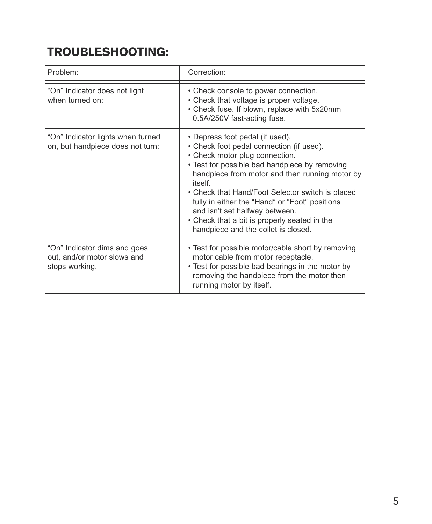# TROUBLESHOOTING:

| Problem:                                                                      | Correction:                                                                                                                                                                                                                                                                                                                                                                                                                                               |
|-------------------------------------------------------------------------------|-----------------------------------------------------------------------------------------------------------------------------------------------------------------------------------------------------------------------------------------------------------------------------------------------------------------------------------------------------------------------------------------------------------------------------------------------------------|
| "On" Indicator does not light<br>when turned on:                              | • Check console to power connection.<br>• Check that voltage is proper voltage.<br>• Check fuse. If blown, replace with 5x20mm<br>0.5A/250V fast-acting fuse.                                                                                                                                                                                                                                                                                             |
| "On" Indicator lights when turned<br>on, but handpiece does not turn:         | • Depress foot pedal (if used).<br>• Check foot pedal connection (if used).<br>• Check motor plug connection.<br>• Test for possible bad handpiece by removing<br>handpiece from motor and then running motor by<br>itself<br>• Check that Hand/Foot Selector switch is placed<br>fully in either the "Hand" or "Foot" positions<br>and isn't set halfway between.<br>• Check that a bit is properly seated in the<br>handpiece and the collet is closed. |
| "On" Indicator dims and goes<br>out, and/or motor slows and<br>stops working. | • Test for possible motor/cable short by removing<br>motor cable from motor receptacle.<br>• Test for possible bad bearings in the motor by<br>removing the handpiece from the motor then<br>running motor by itself.                                                                                                                                                                                                                                     |